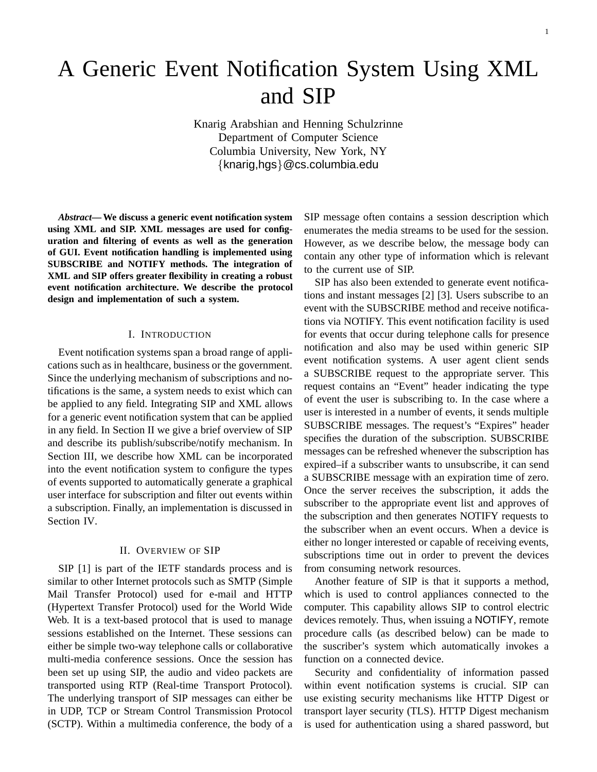# A Generic Event Notification System Using XML and SIP

Knarig Arabshian and Henning Schulzrinne Department of Computer Science Columbia University, New York, NY {knarig,hgs}@cs.columbia.edu

*Abstract***— We discuss a generic event notification system using XML and SIP. XML messages are used for configuration and filtering of events as well as the generation of GUI. Event notification handling is implemented using SUBSCRIBE and NOTIFY methods. The integration of XML and SIP offers greater flexibility in creating a robust event notification architecture. We describe the protocol design and implementation of such a system.**

#### I. INTRODUCTION

Event notification systems span a broad range of applications such as in healthcare, business or the government. Since the underlying mechanism of subscriptions and notifications is the same, a system needs to exist which can be applied to any field. Integrating SIP and XML allows for a generic event notification system that can be applied in any field. In Section II we give a brief overview of SIP and describe its publish/subscribe/notify mechanism. In Section III, we describe how XML can be incorporated into the event notification system to configure the types of events supported to automatically generate a graphical user interface for subscription and filter out events within a subscription. Finally, an implementation is discussed in Section IV.

#### II. OVERVIEW OF SIP

SIP [1] is part of the IETF standards process and is similar to other Internet protocols such as SMTP (Simple Mail Transfer Protocol) used for e-mail and HTTP (Hypertext Transfer Protocol) used for the World Wide Web. It is a text-based protocol that is used to manage sessions established on the Internet. These sessions can either be simple two-way telephone calls or collaborative multi-media conference sessions. Once the session has been set up using SIP, the audio and video packets are transported using RTP (Real-time Transport Protocol). The underlying transport of SIP messages can either be in UDP, TCP or Stream Control Transmission Protocol (SCTP). Within a multimedia conference, the body of a SIP message often contains a session description which enumerates the media streams to be used for the session. However, as we describe below, the message body can contain any other type of information which is relevant to the current use of SIP.

SIP has also been extended to generate event notifications and instant messages [2] [3]. Users subscribe to an event with the SUBSCRIBE method and receive notifications via NOTIFY. This event notification facility is used for events that occur during telephone calls for presence notification and also may be used within generic SIP event notification systems. A user agent client sends a SUBSCRIBE request to the appropriate server. This request contains an "Event" header indicating the type of event the user is subscribing to. In the case where a user is interested in a number of events, it sends multiple SUBSCRIBE messages. The request's "Expires" header specifies the duration of the subscription. SUBSCRIBE messages can be refreshed whenever the subscription has expired–if a subscriber wants to unsubscribe, it can send a SUBSCRIBE message with an expiration time of zero. Once the server receives the subscription, it adds the subscriber to the appropriate event list and approves of the subscription and then generates NOTIFY requests to the subscriber when an event occurs. When a device is either no longer interested or capable of receiving events, subscriptions time out in order to prevent the devices from consuming network resources.

Another feature of SIP is that it supports a method, which is used to control appliances connected to the computer. This capability allows SIP to control electric devices remotely. Thus, when issuing a NOTIFY, remote procedure calls (as described below) can be made to the suscriber's system which automatically invokes a function on a connected device.

Security and confidentiality of information passed within event notification systems is crucial. SIP can use existing security mechanisms like HTTP Digest or transport layer security (TLS). HTTP Digest mechanism is used for authentication using a shared password, but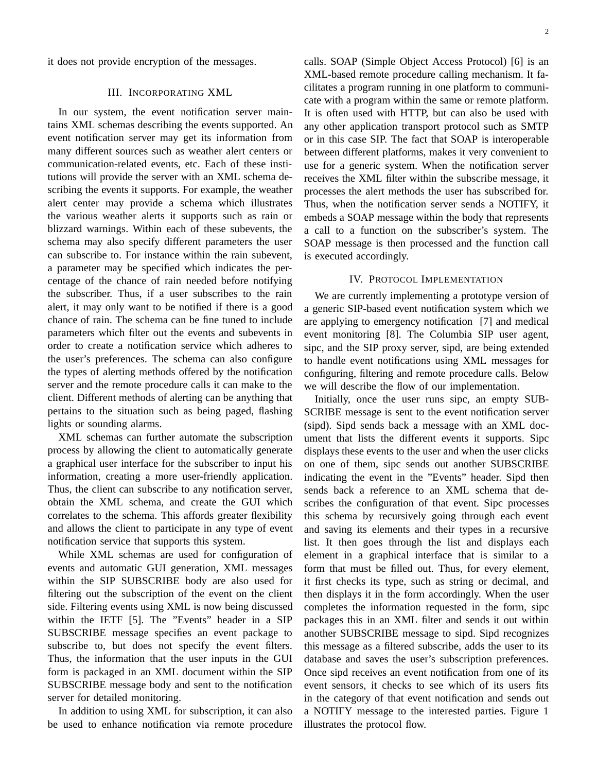it does not provide encryption of the messages.

#### III. INCORPORATING XML

In our system, the event notification server maintains XML schemas describing the events supported. An event notification server may get its information from many different sources such as weather alert centers or communication-related events, etc. Each of these institutions will provide the server with an XML schema describing the events it supports. For example, the weather alert center may provide a schema which illustrates the various weather alerts it supports such as rain or blizzard warnings. Within each of these subevents, the schema may also specify different parameters the user can subscribe to. For instance within the rain subevent, a parameter may be specified which indicates the percentage of the chance of rain needed before notifying the subscriber. Thus, if a user subscribes to the rain alert, it may only want to be notified if there is a good chance of rain. The schema can be fine tuned to include parameters which filter out the events and subevents in order to create a notification service which adheres to the user's preferences. The schema can also configure the types of alerting methods offered by the notification server and the remote procedure calls it can make to the client. Different methods of alerting can be anything that pertains to the situation such as being paged, flashing lights or sounding alarms.

XML schemas can further automate the subscription process by allowing the client to automatically generate a graphical user interface for the subscriber to input his information, creating a more user-friendly application. Thus, the client can subscribe to any notification server, obtain the XML schema, and create the GUI which correlates to the schema. This affords greater flexibility and allows the client to participate in any type of event notification service that supports this system.

While XML schemas are used for configuration of events and automatic GUI generation, XML messages within the SIP SUBSCRIBE body are also used for filtering out the subscription of the event on the client side. Filtering events using XML is now being discussed within the IETF [5]. The "Events" header in a SIP SUBSCRIBE message specifies an event package to subscribe to, but does not specify the event filters. Thus, the information that the user inputs in the GUI form is packaged in an XML document within the SIP SUBSCRIBE message body and sent to the notification server for detailed monitoring.

In addition to using XML for subscription, it can also be used to enhance notification via remote procedure calls. SOAP (Simple Object Access Protocol) [6] is an XML-based remote procedure calling mechanism. It facilitates a program running in one platform to communicate with a program within the same or remote platform. It is often used with HTTP, but can also be used with any other application transport protocol such as SMTP or in this case SIP. The fact that SOAP is interoperable between different platforms, makes it very convenient to use for a generic system. When the notification server receives the XML filter within the subscribe message, it processes the alert methods the user has subscribed for. Thus, when the notification server sends a NOTIFY, it embeds a SOAP message within the body that represents a call to a function on the subscriber's system. The SOAP message is then processed and the function call is executed accordingly.

## IV. PROTOCOL IMPLEMENTATION

We are currently implementing a prototype version of a generic SIP-based event notification system which we are applying to emergency notification [7] and medical event monitoring [8]. The Columbia SIP user agent, sipc, and the SIP proxy server, sipd, are being extended to handle event notifications using XML messages for configuring, filtering and remote procedure calls. Below we will describe the flow of our implementation.

Initially, once the user runs sipc, an empty SUB-SCRIBE message is sent to the event notification server (sipd). Sipd sends back a message with an XML document that lists the different events it supports. Sipc displays these events to the user and when the user clicks on one of them, sipc sends out another SUBSCRIBE indicating the event in the "Events" header. Sipd then sends back a reference to an XML schema that describes the configuration of that event. Sipc processes this schema by recursively going through each event and saving its elements and their types in a recursive list. It then goes through the list and displays each element in a graphical interface that is similar to a form that must be filled out. Thus, for every element, it first checks its type, such as string or decimal, and then displays it in the form accordingly. When the user completes the information requested in the form, sipc packages this in an XML filter and sends it out within another SUBSCRIBE message to sipd. Sipd recognizes this message as a filtered subscribe, adds the user to its database and saves the user's subscription preferences. Once sipd receives an event notification from one of its event sensors, it checks to see which of its users fits in the category of that event notification and sends out a NOTIFY message to the interested parties. Figure 1 illustrates the protocol flow.